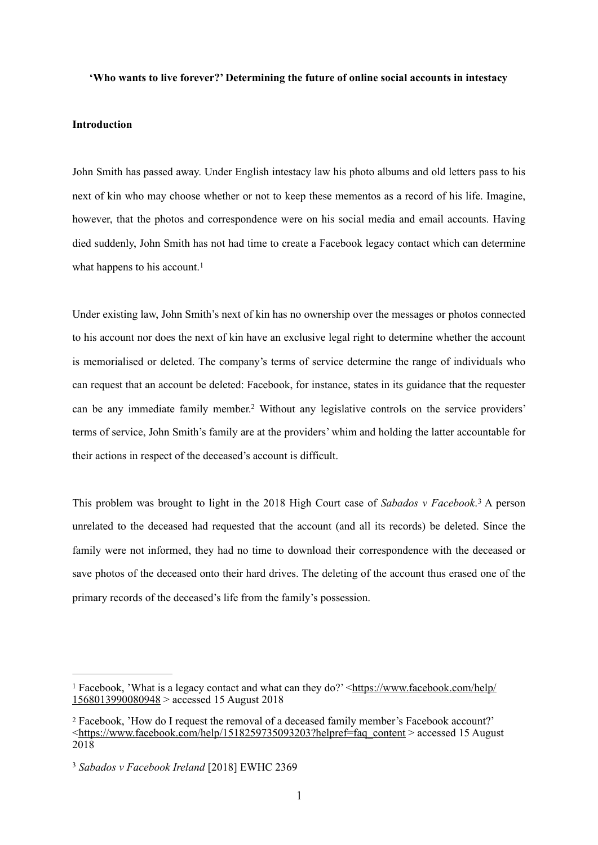### **'Who wants to live forever?' Determining the future of online social accounts in intestacy**

## **Introduction**

John Smith has passed away. Under English intestacy law his photo albums and old letters pass to his next of kin who may choose whether or not to keep these mementos as a record of his life. Imagine, however, that the photos and correspondence were on his social media and email accounts. Having died suddenly, John Smith has not had time to create a Facebook legacy contact which can determine what happens to his account.<sup>[1](#page-0-0)</sup>

<span id="page-0-4"></span><span id="page-0-3"></span>Under existing law, John Smith's next of kin has no ownership over the messages or photos connected to his account nor does the next of kin have an exclusive legal right to determine whether the account is memorialised or deleted. The company's terms of service determine the range of individuals who can request that an account be deleted: Facebook, for instance, states in its guidance that the requester can be any immediate family member.<sup>[2](#page-0-1)</sup> Without any legislative controls on the service providers' terms of service, John Smith's family are at the providers' whim and holding the latter accountable for their actions in respect of the deceased's account is difficult.

<span id="page-0-5"></span>This problem was brought to light in the 2018 High Court case of *Sabados v Facebook*.<sup>[3](#page-0-2)</sup> A person unrelated to the deceased had requested that the account (and all its records) be deleted. Since the family were not informed, they had no time to download their correspondence with the deceased or save photos of the deceased onto their hard drives. The deleting of the account thus erased one of the primary records of the deceased's life from the family's possession.

<span id="page-0-0"></span><sup>&</sup>lt;sup>1</sup> Facebook, 'What is a legacy contact and what can they do?' <[https://www.facebook.com/help/](https://www.facebook.com/help/1568013990080948) [1568013990080948](https://www.facebook.com/help/1568013990080948) > accessed 15 August 2018

<span id="page-0-1"></span>Facebook, 'How do I request the removal of a deceased family member's Facebook account?' [2](#page-0-4) [<https://www.facebook.com/help/1518259735093203?helpref=faq\\_content](https://www.facebook.com/help/1518259735093203?helpref=faq_content) > accessed 15 August 2018

<span id="page-0-2"></span><sup>&</sup>lt;sup>[3](#page-0-5)</sup> Sabados v Facebook Ireland [2018] EWHC 2369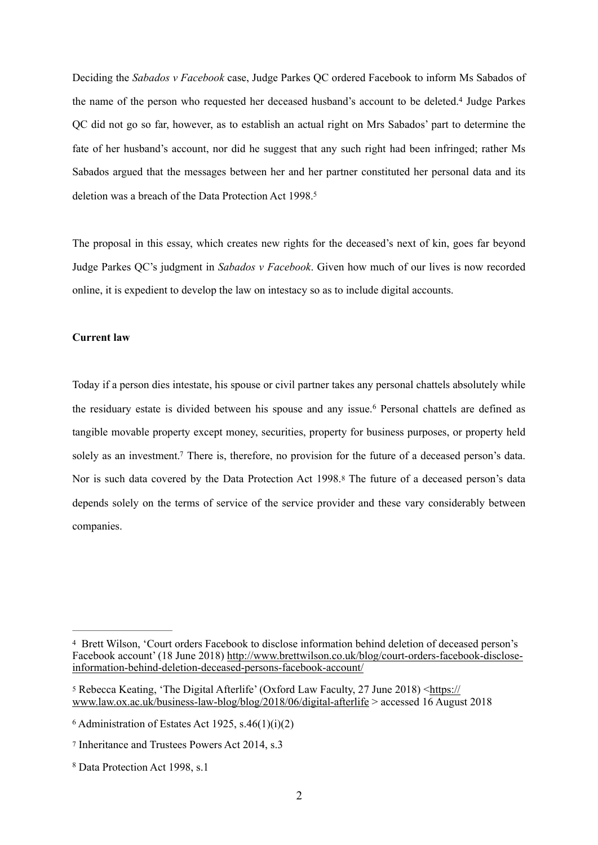<span id="page-1-5"></span>Deciding the *Sabados v Facebook* case, Judge Parkes QC ordered Facebook to inform Ms Sabados of the name of the person who requested her deceased husband's account to be deleted.<sup>[4](#page-1-0)</sup> Judge Parkes QC did not go so far, however, as to establish an actual right on Mrs Sabados' part to determine the fate of her husband's account, nor did he suggest that any such right had been infringed; rather Ms Sabados argued that the messages between her and her partner constituted her personal data and its deletion was a breach of the Data Protection Act 1998[. 5](#page-1-1)

<span id="page-1-6"></span>The proposal in this essay, which creates new rights for the deceased's next of kin, goes far beyond Judge Parkes QC's judgment in *Sabados v Facebook*. Given how much of our lives is now recorded online, it is expedient to develop the law on intestacy so as to include digital accounts.

# **Current law**

<span id="page-1-9"></span><span id="page-1-8"></span><span id="page-1-7"></span>Today if a person dies intestate, his spouse or civil partner takes any personal chattels absolutely while theresiduary estate is divided between his spouse and any issue.<sup>[6](#page-1-2)</sup> Personal chattels are defined as tangible movable property except money, securities, property for business purposes, or property held solely as an investment[.](#page-1-3)<sup>[7](#page-1-3)</sup> There is, therefore, no provision for the future of a deceased person's data. Noris such data covered by the Data Protection Act 199[8](#page-1-4).<sup>8</sup> The future of a deceased person's data depends solely on the terms of service of the service provider and these vary considerably between companies.

<span id="page-1-0"></span>Brett Wilson, 'Court orders Facebook to disclose information behind deletion of deceased person's [4](#page-1-5) Facebook account' (18 June 2018) [http://www.brettwilson.co.uk/blog/court-orders-facebook-disclose](http://www.brettwilson.co.uk/blog/court-orders-facebook-disclose-information-behind-deletion-deceased-persons-facebook-account/)[information-behind-deletion-deceased-persons-facebook-account/](http://www.brettwilson.co.uk/blog/court-orders-facebook-disclose-information-behind-deletion-deceased-persons-facebook-account/)

<span id="page-1-1"></span>Rebecca Keating, 'The Digital Afterlife' (Oxford Law Faculty, 27 June 2018) <[https://](https://www.law.ox.ac.uk/business-law-blog/blog/2018/06/digital-afterlife) [5](#page-1-6) [www.law.ox.ac.uk/business-law-blog/blog/2018/06/digital-afterlife](https://www.law.ox.ac.uk/business-law-blog/blog/2018/06/digital-afterlife) > accessed 16 August 2018

<span id="page-1-2"></span> $6$  Administration of Estates Act 1925, s.46(1)(i)(2)

<span id="page-1-3"></span>[<sup>7</sup>](#page-1-8) Inheritance and Trustees Powers Act 2014, s.3

<span id="page-1-4"></span><sup>&</sup>lt;sup>[8](#page-1-9)</sup> Data Protection Act 1998, s.1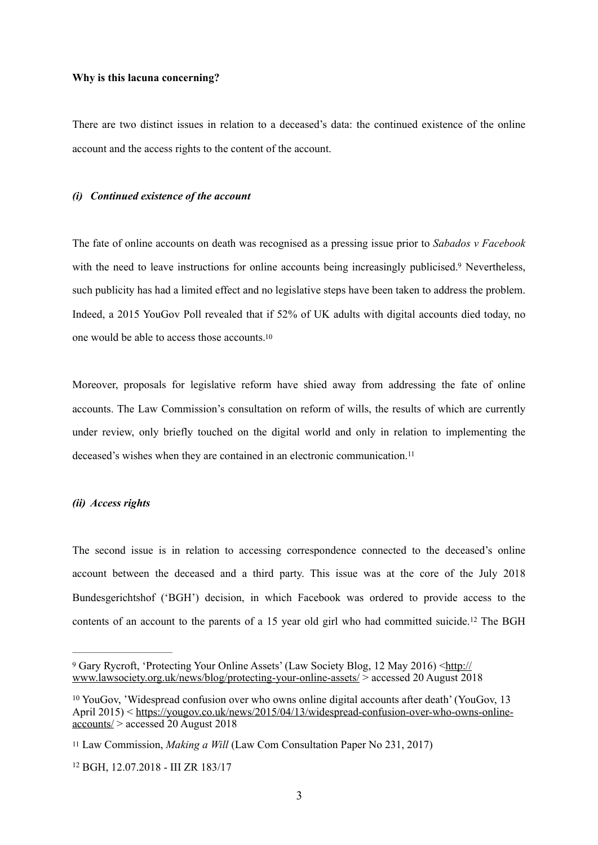#### **Why is this lacuna concerning?**

There are two distinct issues in relation to a deceased's data: the continued existence of the online account and the access rights to the content of the account.

#### *(i) Continued existence of the account*

<span id="page-2-4"></span>The fate of online accounts on death was recognised as a pressing issue prior to *Sabados v Facebook*  with the need to leave instructions for online accounts being increasingly publicised.<sup>[9](#page-2-0)</sup> Nevertheless, such publicity has had a limited effect and no legislative steps have been taken to address the problem. Indeed, a 2015 YouGov Poll revealed that if 52% of UK adults with digital accounts died today, no one would be able to access those accounts. <sup>10</sup>

<span id="page-2-5"></span>Moreover, proposals for legislative reform have shied away from addressing the fate of online accounts. The Law Commission's consultation on reform of wills, the results of which are currently under review, only briefly touched on the digital world and only in relation to implementing the deceased's wishes when they are contained in an electronic communication.<sup>11</sup>

#### <span id="page-2-6"></span>*(ii) Access rights*

The second issue is in relation to accessing correspondence connected to the deceased's online account between the deceased and a third party. This issue was at the core of the July 2018 Bundesgerichtshof ('BGH') decision, in which Facebook was ordered to provide access to the contents of an account to the parents of a 15 year old girl who had committed suicide.<sup>[12](#page-2-3)</sup> The BGH

<span id="page-2-7"></span><span id="page-2-0"></span>Gary Rycroft, 'Protecting Your Online Assets' (Law Society Blog, 12 May 2016) <[http://](http://www.lawsociety.org.uk/news/blog/protecting-your-online-assets/) [9](#page-2-4) [www.lawsociety.org.uk/news/blog/protecting-your-online-assets/](http://www.lawsociety.org.uk/news/blog/protecting-your-online-assets/) > accessed 20 August 2018

<span id="page-2-1"></span> $10$  YouGov, 'Widespread confusion over who owns online digital accounts after death' (YouGov, 13 April 2015) < [https://yougov.co.uk/news/2015/04/13/widespread-confusion-over-who-owns-online](https://yougov.co.uk/news/2015/04/13/widespread-confusion-over-who-owns-online-accounts/)[accounts/](https://yougov.co.uk/news/2015/04/13/widespread-confusion-over-who-owns-online-accounts/) > accessed 20 August 2018

<span id="page-2-2"></span><sup>&</sup>lt;sup>[11](#page-2-6)</sup> Law Commission, *Making a Will* (Law Com Consultation Paper No 231, 2017)

<span id="page-2-3"></span><sup>&</sup>lt;sup>[12](#page-2-7)</sup> BGH, 12.07.2018 - III ZR 183/17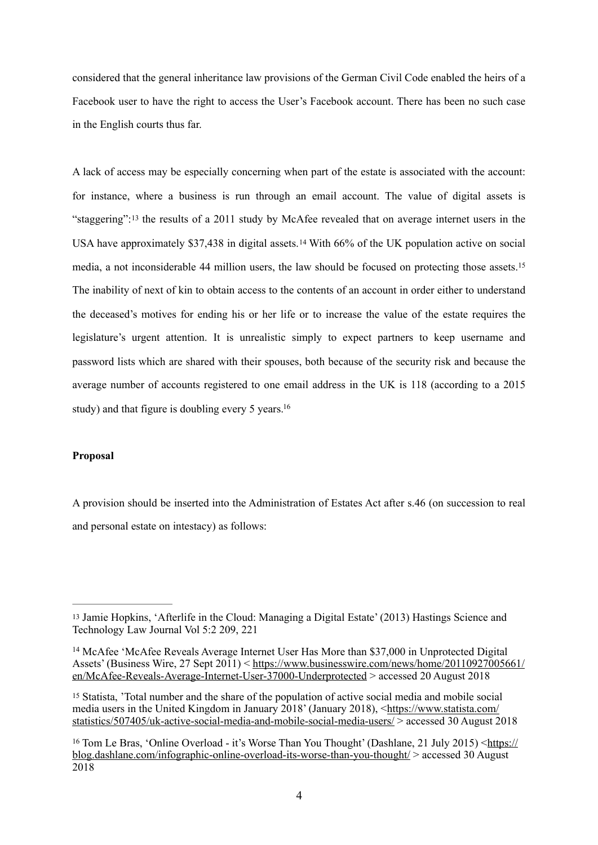considered that the general inheritance law provisions of the German Civil Code enabled the heirs of a Facebook user to have the right to access the User's Facebook account. There has been no such case in the English courts thus far.

<span id="page-3-6"></span><span id="page-3-5"></span><span id="page-3-4"></span>A lack of access may be especially concerning when part of the estate is associated with the account: for instance, where a business is run through an email account. The value of digital assets is "staggering":<sup>13</sup>the results of a 2011 study by McAfee revealed that on average internet users in the USAhave approximately  $$37,438$  in digital assets.<sup>[14](#page-3-1)</sup> With 66% of the UK population active on social media, a not inconsiderable 44 million users, the law should be focused on protecting those assets.[15](#page-3-2) The inability of next of kin to obtain access to the contents of an account in order either to understand the deceased's motives for ending his or her life or to increase the value of the estate requires the legislature's urgent attention. It is unrealistic simply to expect partners to keep username and password lists which are shared with their spouses, both because of the security risk and because the average number of accounts registered to one email address in the UK is 118 (according to a 2015 study) and that figure is doubling every 5 years.<sup>16</sup>

# <span id="page-3-7"></span>**Proposal**

A provision should be inserted into the Administration of Estates Act after s.46 (on succession to real and personal estate on intestacy) as follows:

<span id="page-3-0"></span><sup>&</sup>lt;sup>[13](#page-3-4)</sup> Jamie Hopkins, 'Afterlife in the Cloud: Managing a Digital Estate' (2013) Hastings Science and Technology Law Journal Vol 5:2 209, 221

<span id="page-3-1"></span><sup>&</sup>lt;sup>[14](#page-3-5)</sup> McAfee 'McAfee Reveals Average Internet User Has More than \$37,000 in Unprotected Digital [Assets' \(Business Wire, 27 Sept 2011\) < https://www.businesswire.com/news/home/20110927005661/](https://www.businesswire.com/news/home/20110927005661/en/McAfee-Reveals-Average-Internet-User-37000-Underprotected) [en/McAfee-Reveals-Average-Internet-User-37000-Underprotected](https://www.businesswire.com/news/home/20110927005661/en/McAfee-Reveals-Average-Internet-User-37000-Underprotected) > accessed 20 August 2018

<span id="page-3-2"></span>Statista, 'Total number and the share of the population of active social media and mobile social [15](#page-3-6) media users in the United Kingdom in January 2018' (January 2018), [<https://www.statista.com/](https://www.statista.com/statistics/507405/uk-active-social-media-and-mobile-social-media-users/) [statistics/507405/uk-active-social-media-and-mobile-social-media-users/ > accessed 30 August 2](https://www.statista.com/statistics/507405/uk-active-social-media-and-mobile-social-media-users/)018

<span id="page-3-3"></span> $16$  Tom Le Bras, 'Online Overload - it's Worse Than You Thought' (Dashlane, 21 July 2015)  $\lt$ https:// [blog.dashlane.com/infographic-online-overload-its-worse-than-you-thought/](https://blog.dashlane.com/infographic-online-overload-its-worse-than-you-thought/) > accessed 30 August 2018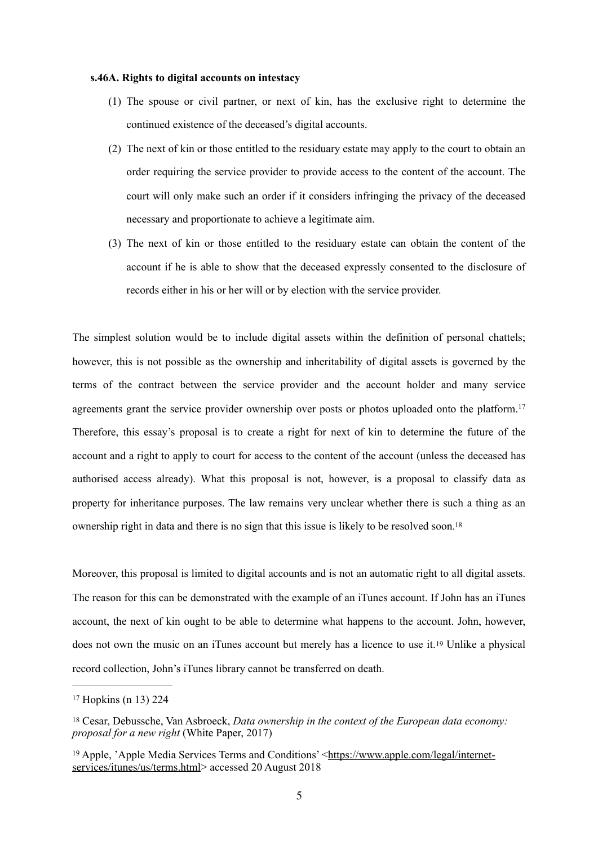#### **s.46A. Rights to digital accounts on intestacy**

- (1) The spouse or civil partner, or next of kin, has the exclusive right to determine the continued existence of the deceased's digital accounts.
- (2) The next of kin or those entitled to the residuary estate may apply to the court to obtain an order requiring the service provider to provide access to the content of the account. The court will only make such an order if it considers infringing the privacy of the deceased necessary and proportionate to achieve a legitimate aim.
- <span id="page-4-3"></span>(3) The next of kin or those entitled to the residuary estate can obtain the content of the account if he is able to show that the deceased expressly consented to the disclosure of records either in his or her will or by election with the service provider.

The simplest solution would be to include digital assets within the definition of personal chattels; however, this is not possible as the ownership and inheritability of digital assets is governed by the terms of the contract between the service provider and the account holder and many service agreements grant the service provider ownership over posts or photos uploaded onto the platform.<sup>[17](#page-4-0)</sup> Therefore, this essay's proposal is to create a right for next of kin to determine the future of the account and a right to apply to court for access to the content of the account (unless the deceased has authorised access already). What this proposal is not, however, is a proposal to classify data as property for inheritance purposes. The law remains very unclear whether there is such a thing as an ownership right in data and there is no sign that this issue is likely to be resolved soon[. 18](#page-4-1)

<span id="page-4-4"></span>Moreover, this proposal is limited to digital accounts and is not an automatic right to all digital assets. The reason for this can be demonstrated with the example of an iTunes account. If John has an iTunes account, the next of kin ought to be able to determine what happens to the account. John, however, does not own the music on an iTunes account but merely has a licence to use it.<sup>[19](#page-4-2)</sup> Unlike a physical record collection, John's iTunes library cannot be transferred on death.

<span id="page-4-5"></span><span id="page-4-0"></span> $17$  Hopkins (n 13) 224

<span id="page-4-1"></span>Cesar, Debussche, Van Asbroeck, *Data ownership in the context of the European data economy:* [18](#page-4-4) *proposal for a new right* (White Paper, 2017)

<span id="page-4-2"></span> $19$  Apple, 'Apple Media Services Terms and Conditions' <[https://www.apple.com/legal/internet](https://www.apple.com/legal/internet-services/itunes/us/terms.html) [services/itunes/us/terms.html](https://www.apple.com/legal/internet-services/itunes/us/terms.html)> accessed 20 August 2018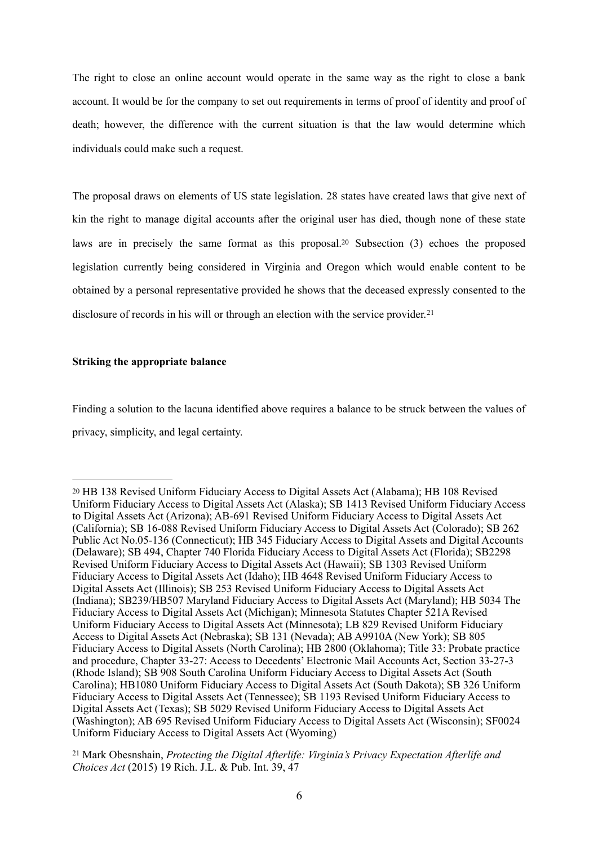The right to close an online account would operate in the same way as the right to close a bank account. It would be for the company to set out requirements in terms of proof of identity and proof of death; however, the difference with the current situation is that the law would determine which individuals could make such a request.

<span id="page-5-2"></span>The proposal draws on elements of US state legislation. 28 states have created laws that give next of kin the right to manage digital accounts after the original user has died, though none of these state laws are in precisely the same format as this proposal.<sup>[20](#page-5-0)</sup> Subsection  $(3)$  echoes the proposed legislation currently being considered in Virginia and Oregon which would enable content to be obtained by a personal representative provided he shows that the deceased expressly consented to the disclosure of records in his will or through an election with the service provider.<sup>[21](#page-5-1)</sup>

### <span id="page-5-3"></span>**Striking the appropriate balance**

Finding a solution to the lacuna identified above requires a balance to be struck between the values of privacy, simplicity, and legal certainty.

<span id="page-5-1"></span> Mark Obesnshain, *Protecting the Digital Afterlife: Virginia's Privacy Expectation Afterlife and* [21](#page-5-3) *Choices Act* (2015) 19 Rich. J.L. & Pub. Int. 39, 47

<span id="page-5-0"></span><sup>&</sup>lt;sup>[20](#page-5-2)</sup> HB 138 Revised Uniform Fiduciary Access to Digital Assets Act (Alabama); HB 108 Revised Uniform Fiduciary Access to Digital Assets Act (Alaska); SB 1413 Revised Uniform Fiduciary Access to Digital Assets Act (Arizona); AB-691 Revised Uniform Fiduciary Access to Digital Assets Act (California); SB 16-088 Revised Uniform Fiduciary Access to Digital Assets Act (Colorado); SB 262 Public Act No.05-136 (Connecticut); HB 345 Fiduciary Access to Digital Assets and Digital Accounts (Delaware); SB 494, Chapter 740 Florida Fiduciary Access to Digital Assets Act (Florida); SB2298 Revised Uniform Fiduciary Access to Digital Assets Act (Hawaii); SB 1303 Revised Uniform Fiduciary Access to Digital Assets Act (Idaho); HB 4648 Revised Uniform Fiduciary Access to Digital Assets Act (Illinois); SB 253 Revised Uniform Fiduciary Access to Digital Assets Act (Indiana); SB239/HB507 Maryland Fiduciary Access to Digital Assets Act (Maryland); HB 5034 The Fiduciary Access to Digital Assets Act (Michigan); Minnesota Statutes Chapter 521A Revised Uniform Fiduciary Access to Digital Assets Act (Minnesota); LB 829 Revised Uniform Fiduciary Access to Digital Assets Act (Nebraska); SB 131 (Nevada); AB A9910A (New York); SB 805 Fiduciary Access to Digital Assets (North Carolina); HB 2800 (Oklahoma); Title 33: Probate practice and procedure, Chapter 33-27: Access to Decedents' Electronic Mail Accounts Act, Section 33-27-3 (Rhode Island); SB 908 South Carolina Uniform Fiduciary Access to Digital Assets Act (South Carolina); HB1080 Uniform Fiduciary Access to Digital Assets Act (South Dakota); SB 326 Uniform Fiduciary Access to Digital Assets Act (Tennessee); SB 1193 Revised Uniform Fiduciary Access to Digital Assets Act (Texas); SB 5029 Revised Uniform Fiduciary Access to Digital Assets Act (Washington); AB 695 Revised Uniform Fiduciary Access to Digital Assets Act (Wisconsin); SF0024 Uniform Fiduciary Access to Digital Assets Act (Wyoming)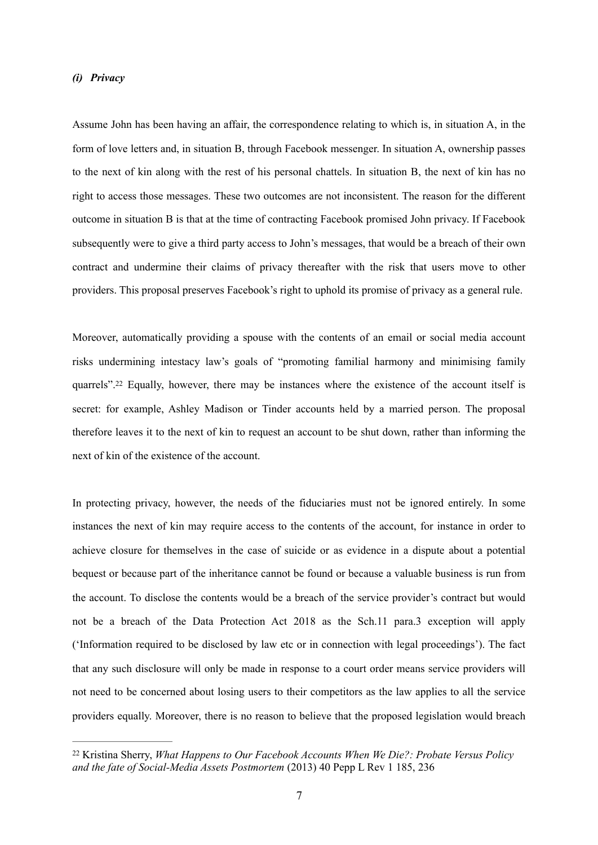### *(i) Privacy*

Assume John has been having an affair, the correspondence relating to which is, in situation A, in the form of love letters and, in situation B, through Facebook messenger. In situation A, ownership passes to the next of kin along with the rest of his personal chattels. In situation B, the next of kin has no right to access those messages. These two outcomes are not inconsistent. The reason for the different outcome in situation B is that at the time of contracting Facebook promised John privacy. If Facebook subsequently were to give a third party access to John's messages, that would be a breach of their own contract and undermine their claims of privacy thereafter with the risk that users move to other providers. This proposal preserves Facebook's right to uphold its promise of privacy as a general rule.

<span id="page-6-1"></span>Moreover, automatically providing a spouse with the contents of an email or social media account risks undermining intestacy law's goals of "promoting familial harmony and minimising family quarrels"[.](#page-6-0)<sup>[22](#page-6-0)</sup> Equally, however, there may be instances where the existence of the account itself is secret: for example, Ashley Madison or Tinder accounts held by a married person. The proposal therefore leaves it to the next of kin to request an account to be shut down, rather than informing the next of kin of the existence of the account.

In protecting privacy, however, the needs of the fiduciaries must not be ignored entirely. In some instances the next of kin may require access to the contents of the account, for instance in order to achieve closure for themselves in the case of suicide or as evidence in a dispute about a potential bequest or because part of the inheritance cannot be found or because a valuable business is run from the account. To disclose the contents would be a breach of the service provider's contract but would not be a breach of the Data Protection Act 2018 as the Sch.11 para.3 exception will apply ('Information required to be disclosed by law etc or in connection with legal proceedings'). The fact that any such disclosure will only be made in response to a court order means service providers will not need to be concerned about losing users to their competitors as the law applies to all the service providers equally. Moreover, there is no reason to believe that the proposed legislation would breach

<span id="page-6-0"></span><sup>&</sup>lt;sup>[22](#page-6-1)</sup> Kristina Sherry, *What Happens to Our Facebook Accounts When We Die?: Probate Versus Policy and the fate of Social-Media Assets Postmortem* (2013) 40 Pepp L Rev 1 185, 236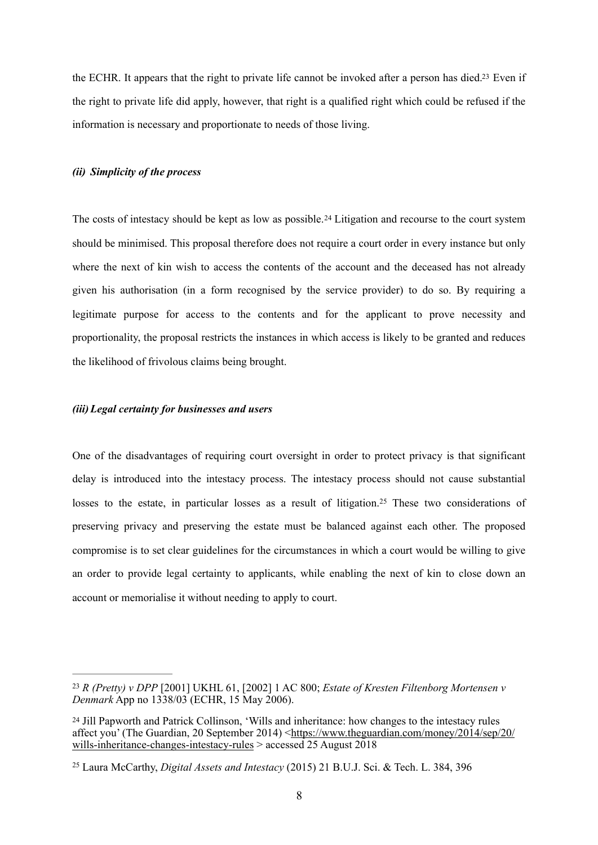<span id="page-7-3"></span>the ECHR[.](#page-7-0) It appears that the right to private life cannot be invoked after a person has died.<sup>[23](#page-7-0)</sup> Even if the right to private life did apply, however, that right is a qualified right which could be refused if the information is necessary and proportionate to needs of those living.

# *(ii) Simplicity of the process*

<span id="page-7-4"></span>Thecosts of intestacy should be kept as low as possible.<sup>[24](#page-7-1)</sup> Litigation and recourse to the court system should be minimised. This proposal therefore does not require a court order in every instance but only where the next of kin wish to access the contents of the account and the deceased has not already given his authorisation (in a form recognised by the service provider) to do so. By requiring a legitimate purpose for access to the contents and for the applicant to prove necessity and proportionality, the proposal restricts the instances in which access is likely to be granted and reduces the likelihood of frivolous claims being brought.

### *(iii)Legal certainty for businesses and users*

<span id="page-7-5"></span>One of the disadvantages of requiring court oversight in order to protect privacy is that significant delay is introduced into the intestacy process. The intestacy process should not cause substantial losses to the estate, in particular losses as a result of litigation.<sup>[25](#page-7-2)</sup> These two considerations of preserving privacy and preserving the estate must be balanced against each other. The proposed compromise is to set clear guidelines for the circumstances in which a court would be willing to give an order to provide legal certainty to applicants, while enabling the next of kin to close down an account or memorialise it without needing to apply to court.

<span id="page-7-0"></span>*R (Pretty) v DPP* [2001] UKHL 61, [2002] 1 AC 800; *Estate of Kresten Filtenborg Mortensen v* [23](#page-7-3) *Denmark* App no 1338/03 (ECHR, 15 May 2006).

<span id="page-7-1"></span><sup>&</sup>lt;sup>[24](#page-7-4)</sup> Jill Papworth and Patrick Collinson, 'Wills and inheritance: how changes to the intestacy rules affect you' (The Guardian, 20 September 2014) <[https://www.theguardian.com/money/2014/sep/20/](https://www.theguardian.com/money/2014/sep/20/wills-inheritance-changes-intestacy-rules) [wills-inheritance-changes-intestacy-rules](https://www.theguardian.com/money/2014/sep/20/wills-inheritance-changes-intestacy-rules) > accessed 25 August 2018

<span id="page-7-2"></span>Laura McCarthy, *Digital Assets and Intestacy* (2015) 21 B.U.J. Sci. & Tech. L. 384, 396 [25](#page-7-5)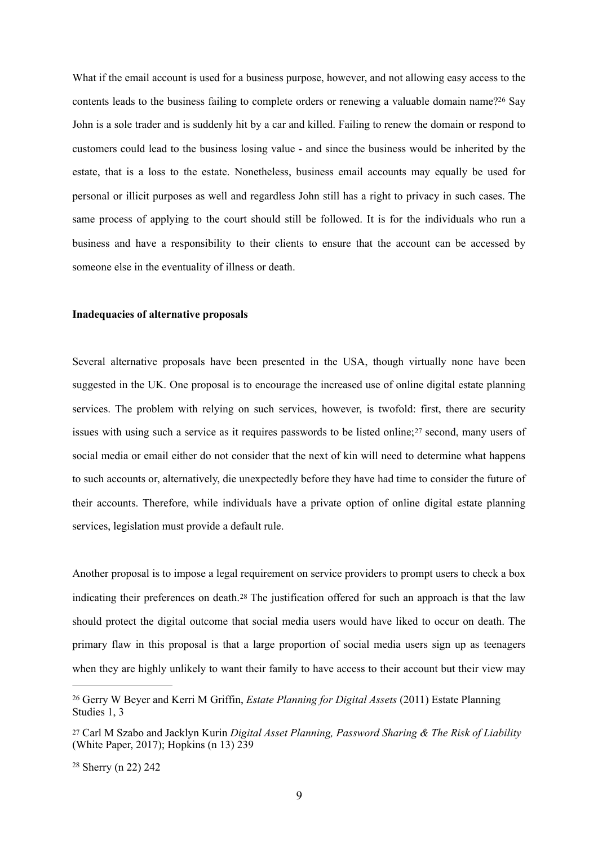<span id="page-8-3"></span>What if the email account is used for a business purpose, however, and not allowing easy access to the contents leads to the business failing to complete orders or renewing a valuable domain name[?](#page-8-0)<sup>[26](#page-8-0)</sup> Say John is a sole trader and is suddenly hit by a car and killed. Failing to renew the domain or respond to customers could lead to the business losing value - and since the business would be inherited by the estate, that is a loss to the estate. Nonetheless, business email accounts may equally be used for personal or illicit purposes as well and regardless John still has a right to privacy in such cases. The same process of applying to the court should still be followed. It is for the individuals who run a business and have a responsibility to their clients to ensure that the account can be accessed by someone else in the eventuality of illness or death.

#### **Inadequacies of alternative proposals**

<span id="page-8-4"></span>Several alternative proposals have been presented in the USA, though virtually none have been suggested in the UK. One proposal is to encourage the increased use of online digital estate planning services. The problem with relying on such services, however, is twofold: first, there are security issueswith using such a service as it requires passwords to be listed online; $27$  second, many users of social media or email either do not consider that the next of kin will need to determine what happens to such accounts or, alternatively, die unexpectedly before they have had time to consider the future of their accounts. Therefore, while individuals have a private option of online digital estate planning services, legislation must provide a default rule.

<span id="page-8-5"></span>Another proposal is to impose a legal requirement on service providers to prompt users to check a box indicating their preferences on death.<sup>[28](#page-8-2)</sup> The justification offered for such an approach is that the law should protect the digital outcome that social media users would have liked to occur on death. The primary flaw in this proposal is that a large proportion of social media users sign up as teenagers when they are highly unlikely to want their family to have access to their account but their view may

<span id="page-8-0"></span>Gerry W Beyer and Kerri M Griffin, *Estate Planning for Digital Assets* (2011) Estate Planning [26](#page-8-3) Studies 1, 3

<span id="page-8-1"></span>[<sup>27</sup>](#page-8-4) Carl M Szabo and Jacklyn Kurin *Digital Asset Planning, Password Sharing & The Risk of Liability* (White Paper, 2017); Hopkins (n 13) 239

<span id="page-8-2"></span><sup>&</sup>lt;sup>[28](#page-8-5)</sup> Sherry (n 22) 242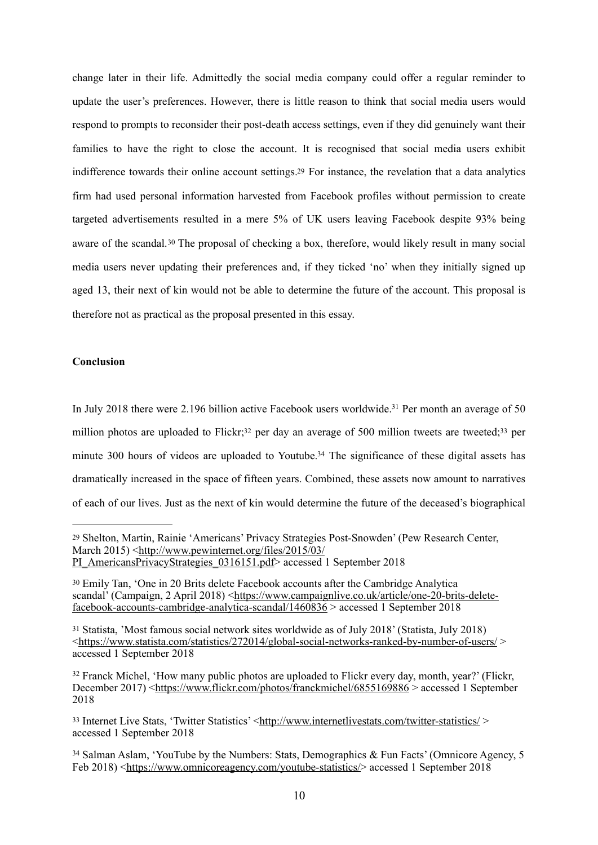<span id="page-9-6"></span>change later in their life. Admittedly the social media company could offer a regular reminder to update the user's preferences. However, there is little reason to think that social media users would respond to prompts to reconsider their post-death access settings, even if they did genuinely want their families to have the right to close the account. It is recognised that social media users exhibit indifference towards their online account settings.<sup>[29](#page-9-0)</sup> For instance, the revelation that a data analytics firm had used personal information harvested from Facebook profiles without permission to create targeted advertisements resulted in a mere 5% of UK users leaving Facebook despite 93% being awareof the scandal.<sup>[30](#page-9-1)</sup> The proposal of checking a box, therefore, would likely result in many social media users never updating their preferences and, if they ticked 'no' when they initially signed up aged 13, their next of kin would not be able to determine the future of the account. This proposal is therefore not as practical as the proposal presented in this essay.

# <span id="page-9-7"></span>**Conclusion**

<span id="page-9-11"></span><span id="page-9-10"></span><span id="page-9-9"></span><span id="page-9-8"></span>In July 2018 there were 2.196 billion active Facebook users worldwide.<sup>[31](#page-9-2)</sup> Per month an average of 50 million photos are uploaded to Flickr;<sup>[32](#page-9-3)</sup> per day an average of 500 million tweets are tweeted;<sup>33</sup> per minute 300 hours of videos are uploaded to Youtube.<sup>[34](#page-9-5)</sup> The significance of these digital assets has dramatically increased in the space of fifteen years. Combined, these assets now amount to narratives of each of our lives. Just as the next of kin would determine the future of the deceased's biographical

<span id="page-9-0"></span><sup>&</sup>lt;sup>[29](#page-9-6)</sup> Shelton, Martin, Rainie 'Americans' Privacy Strategies Post-Snowden' (Pew Research Center, March 2015) [<http://www.pewinternet.org/files/2015/03/](http://www.pewinternet.org/files/2015/03/PI_AmericansPrivacyStrategies_0316151.pdf)

[PI\\_AmericansPrivacyStrategies\\_0316151.pdf> accessed 1](http://www.pewinternet.org/files/2015/03/PI_AmericansPrivacyStrategies_0316151.pdf) September 2018

<span id="page-9-1"></span>Emily Tan, 'One in 20 Brits delete Facebook accounts after the Cambridge Analytica [30](#page-9-7) scandal' (Campaign, 2 April 2018) [<https://www.campaignlive.co.uk/article/one-20-brits-delete](https://www.campaignlive.co.uk/article/one-20-brits-delete-facebook-accounts-cambridge-analytica-scandal/1460836)[facebook-accounts-cambridge-analytica-scandal/1460836 > accessed 1 September 2018](https://www.campaignlive.co.uk/article/one-20-brits-delete-facebook-accounts-cambridge-analytica-scandal/1460836)

<span id="page-9-2"></span>Statista, 'Most famous social network sites worldwide as of July 2018' (Statista, July 2018) [31](#page-9-8) [<https://www.statista.com/statistics/272014/global-social-networks-ranked-by-number-of-users/](https://www.statista.com/statistics/272014/global-social-networks-ranked-by-number-of-users/) > accessed 1 September 2018

<span id="page-9-3"></span><sup>&</sup>lt;sup>[32](#page-9-9)</sup> Franck Michel, 'How many public photos are uploaded to Flickr every day, month, year?' (Flickr, December 2017) <<https://www.flickr.com/photos/franckmichel/6855169886> > accessed 1 September 2018

<span id="page-9-4"></span><sup>33</sup> Internet Live Stats, 'Twitter Statistics' [<http://www.internetlivestats.com/twitter-statistics/](http://www.internetlivestats.com/twitter-statistics/) > accessed 1 September 2018

<span id="page-9-5"></span><sup>&</sup>lt;sup>[34](#page-9-11)</sup> Salman Aslam, 'YouTube by the Numbers: Stats, Demographics & Fun Facts' (Omnicore Agency, 5 Feb 2018) <<https://www.omnicoreagency.com/youtube-statistics/>>accessed 1 September 2018